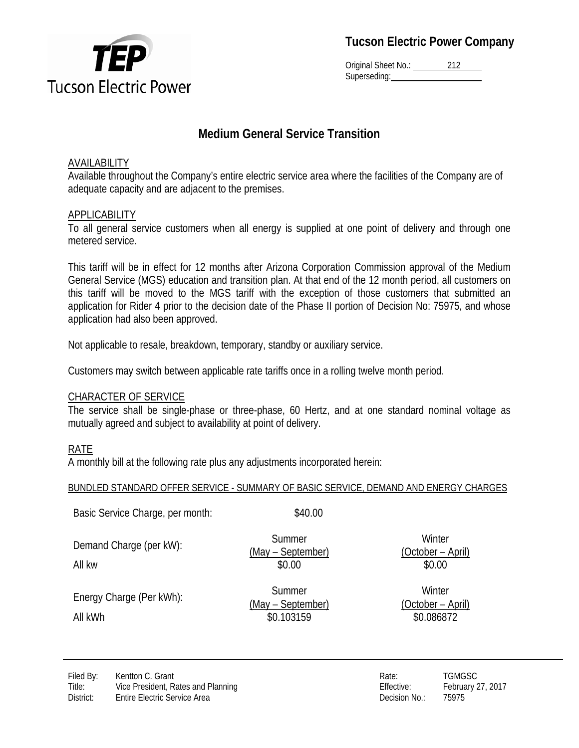

Original Sheet No.: 212 Superseding:

# **Medium General Service Transition**

## AVAILABILITY

Available throughout the Company's entire electric service area where the facilities of the Company are of adequate capacity and are adjacent to the premises.

# APPLICABILITY

To all general service customers when all energy is supplied at one point of delivery and through one metered service.

This tariff will be in effect for 12 months after Arizona Corporation Commission approval of the Medium General Service (MGS) education and transition plan. At that end of the 12 month period, all customers on this tariff will be moved to the MGS tariff with the exception of those customers that submitted an application for Rider 4 prior to the decision date of the Phase II portion of Decision No: 75975, and whose application had also been approved.

Not applicable to resale, breakdown, temporary, standby or auxiliary service.

Customers may switch between applicable rate tariffs once in a rolling twelve month period.

## CHARACTER OF SERVICE

The service shall be single-phase or three-phase, 60 Hertz, and at one standard nominal voltage as mutually agreed and subject to availability at point of delivery.

# RATE

A monthly bill at the following rate plus any adjustments incorporated herein:

## BUNDLED STANDARD OFFER SERVICE - SUMMARY OF BASIC SERVICE, DEMAND AND ENERGY CHARGES

| Basic Service Charge, per month:    | \$40.00                                   |                                           |
|-------------------------------------|-------------------------------------------|-------------------------------------------|
| Demand Charge (per kW):<br>All kw   | Summer<br>(May – September)<br>\$0.00     | Winter<br>(October – April)<br>\$0.00     |
| Energy Charge (Per kWh):<br>All kWh | Summer<br>(May – September)<br>\$0.103159 | Winter<br>(October – April)<br>\$0.086872 |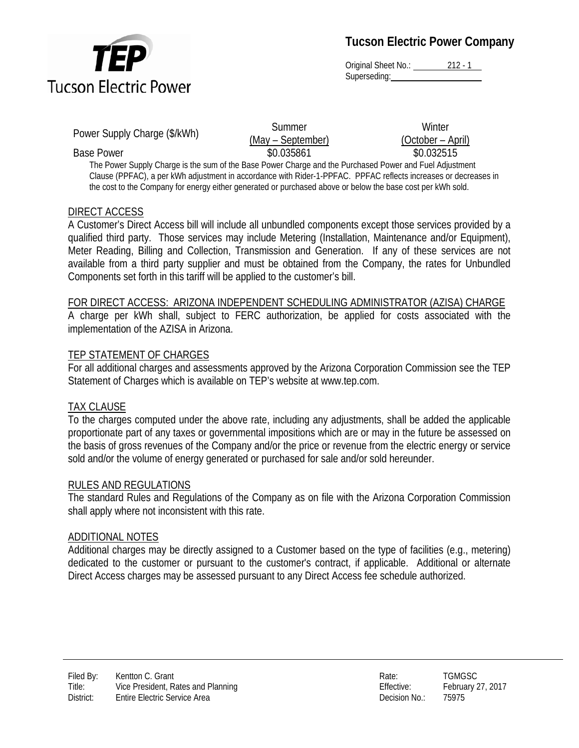

Original Sheet No.: 212 - 1 Superseding:

Power Supply Charge (\$/kWh) Summer

(May – September) Base Power **\$0.032515** \$0.035861 \$0.032515

**Winter** (October – April)

The Power Supply Charge is the sum of the Base Power Charge and the Purchased Power and Fuel Adjustment Clause (PPFAC), a per kWh adjustment in accordance with Rider-1-PPFAC. PPFAC reflects increases or decreases in the cost to the Company for energy either generated or purchased above or below the base cost per kWh sold.

## DIRECT ACCESS

A Customer's Direct Access bill will include all unbundled components except those services provided by a qualified third party. Those services may include Metering (Installation, Maintenance and/or Equipment), Meter Reading, Billing and Collection, Transmission and Generation. If any of these services are not available from a third party supplier and must be obtained from the Company, the rates for Unbundled Components set forth in this tariff will be applied to the customer's bill.

#### FOR DIRECT ACCESS: ARIZONA INDEPENDENT SCHEDULING ADMINISTRATOR (AZISA) CHARGE

A charge per kWh shall, subject to FERC authorization, be applied for costs associated with the implementation of the AZISA in Arizona.

#### TEP STATEMENT OF CHARGES

For all additional charges and assessments approved by the Arizona Corporation Commission see the TEP Statement of Charges which is available on TEP's website at www.tep.com.

#### TAX CLAUSE

To the charges computed under the above rate, including any adjustments, shall be added the applicable proportionate part of any taxes or governmental impositions which are or may in the future be assessed on the basis of gross revenues of the Company and/or the price or revenue from the electric energy or service sold and/or the volume of energy generated or purchased for sale and/or sold hereunder.

#### RULES AND REGULATIONS

The standard Rules and Regulations of the Company as on file with the Arizona Corporation Commission shall apply where not inconsistent with this rate.

#### ADDITIONAL NOTES

Additional charges may be directly assigned to a Customer based on the type of facilities (e.g., metering) dedicated to the customer or pursuant to the customer's contract, if applicable. Additional or alternate Direct Access charges may be assessed pursuant to any Direct Access fee schedule authorized.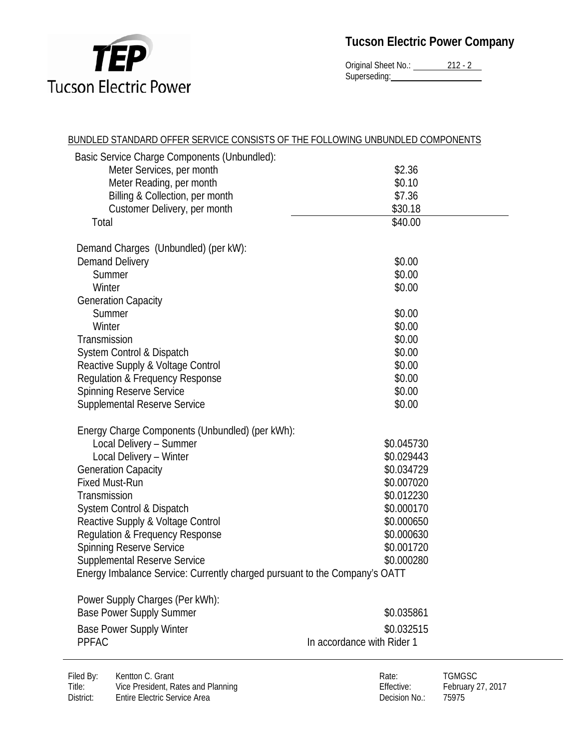

Original Sheet No.: 212 - 2 Superseding:

| BUNDLED STANDARD OFFER SERVICE CONSISTS OF THE FOLLOWING UNBUNDLED COMPONENTS |                            |
|-------------------------------------------------------------------------------|----------------------------|
| Basic Service Charge Components (Unbundled):                                  |                            |
| Meter Services, per month                                                     | \$2.36                     |
| Meter Reading, per month                                                      | \$0.10                     |
| Billing & Collection, per month                                               | \$7.36                     |
| Customer Delivery, per month                                                  | \$30.18                    |
| Total                                                                         | \$40.00                    |
| Demand Charges (Unbundled) (per kW):                                          |                            |
| <b>Demand Delivery</b>                                                        | \$0.00                     |
| Summer                                                                        | \$0.00                     |
| Winter                                                                        | \$0.00                     |
| <b>Generation Capacity</b>                                                    |                            |
| Summer                                                                        | \$0.00                     |
| Winter                                                                        | \$0.00                     |
| Transmission                                                                  | \$0.00                     |
| System Control & Dispatch                                                     | \$0.00                     |
| Reactive Supply & Voltage Control                                             | \$0.00                     |
| Regulation & Frequency Response                                               | \$0.00                     |
| <b>Spinning Reserve Service</b>                                               | \$0.00                     |
| <b>Supplemental Reserve Service</b>                                           | \$0.00                     |
| Energy Charge Components (Unbundled) (per kWh):                               |                            |
| Local Delivery - Summer                                                       | \$0.045730                 |
| Local Delivery - Winter                                                       | \$0.029443                 |
| <b>Generation Capacity</b>                                                    | \$0.034729                 |
| <b>Fixed Must-Run</b>                                                         | \$0.007020                 |
| Transmission                                                                  | \$0.012230                 |
| System Control & Dispatch                                                     | \$0.000170                 |
| Reactive Supply & Voltage Control                                             | \$0.000650                 |
| Regulation & Frequency Response                                               | \$0.000630                 |
| <b>Spinning Reserve Service</b>                                               | \$0.001720                 |
| <b>Supplemental Reserve Service</b>                                           | \$0.000280                 |
| Energy Imbalance Service: Currently charged pursuant to the Company's OATT    |                            |
| Power Supply Charges (Per kWh):                                               |                            |
| <b>Base Power Supply Summer</b>                                               | \$0.035861                 |
| <b>Base Power Supply Winter</b>                                               | \$0.032515                 |
| <b>PPFAC</b>                                                                  | In accordance with Rider 1 |
|                                                                               |                            |